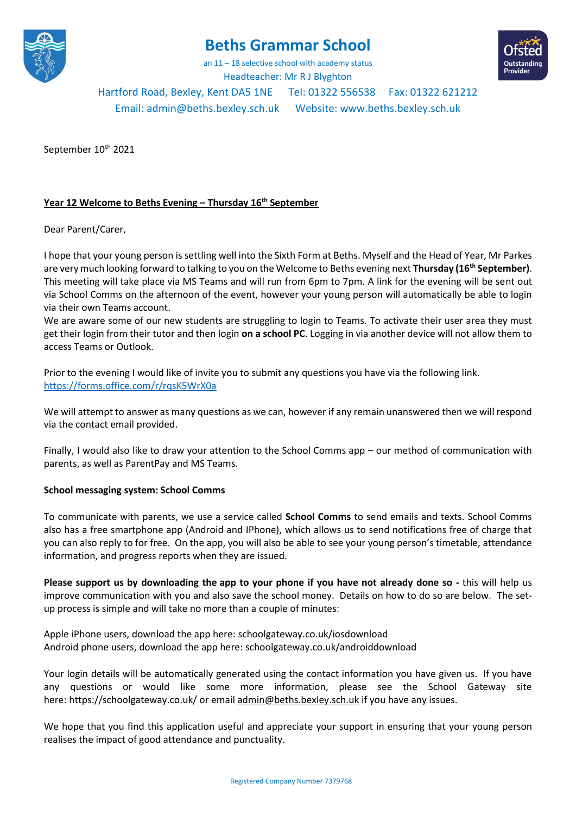

# **Beths Grammar School**

an 11 – 18 selective school with academy status Headteacher: Mr R J Blyghton



Hartford Road, Bexley, Kent DA5 1NE Tel: 01322 556538 Fax: 01322 621212

Email[: admin@beths.bexley.sch.uk](mailto:admin@beths.bexley.sch.uk) Website: [www.beths.bexley.sch.uk](http://www.beths.bexley.sch.uk/)

September 10<sup>th</sup> 2021

## **Year 12 Welcome to Beths Evening – Thursday 16th September**

Dear Parent/Carer,

I hope that your young person is settling well into the Sixth Form at Beths. Myself and the Head of Year, Mr Parkes are very much looking forward to talking to you on the Welcome to Beths evening next **Thursday (16th September)**. This meeting will take place via MS Teams and will run from 6pm to 7pm. A link for the evening will be sent out via School Comms on the afternoon of the event, however your young person will automatically be able to login via their own Teams account.

We are aware some of our new students are struggling to login to Teams. To activate their user area they must get their login from their tutor and then login **on a school PC**. Logging in via another device will not allow them to access Teams or Outlook.

Prior to the evening I would like of invite you to submit any questions you have via the following link. <https://forms.office.com/r/rqsK5WrX0a>

We will attempt to answer as many questions as we can, however if any remain unanswered then we will respond via the contact email provided.

Finally, I would also like to draw your attention to the School Comms app – our method of communication with parents, as well as ParentPay and MS Teams.

### **School messaging system: School Comms**

To communicate with parents, we use a service called **School Comms** to send emails and texts. School Comms also has a free smartphone app (Android and IPhone), which allows us to send notifications free of charge that you can also reply to for free. On the app, you will also be able to see your young person's timetable, attendance information, and progress reports when they are issued.

**Please support us by downloading the app to your phone if you have not already done so -** this will help us improve communication with you and also save the school money. Details on how to do so are below. The setup process is simple and will take no more than a couple of minutes:

Apple iPhone users, download the app here: [schoolgateway.co.uk/iosdownload](http://schoolgateway.co.uk/iosdownload) Android phone users, download the app here: [schoolgateway.co.uk/androiddownload](http://schoolgateway.co.uk/androiddownload)

Your login details will be automatically generated using the contact information you have given us. If you have any questions or would like some more information, please see the School Gateway site here: <https://schoolgateway.co.uk/> or emai[l admin@beths.bexley.sch.uk](mailto:admin@beths.bexley.sch.uk) if you have any issues.

We hope that you find this application useful and appreciate your support in ensuring that your young person realises the impact of good attendance and punctuality.